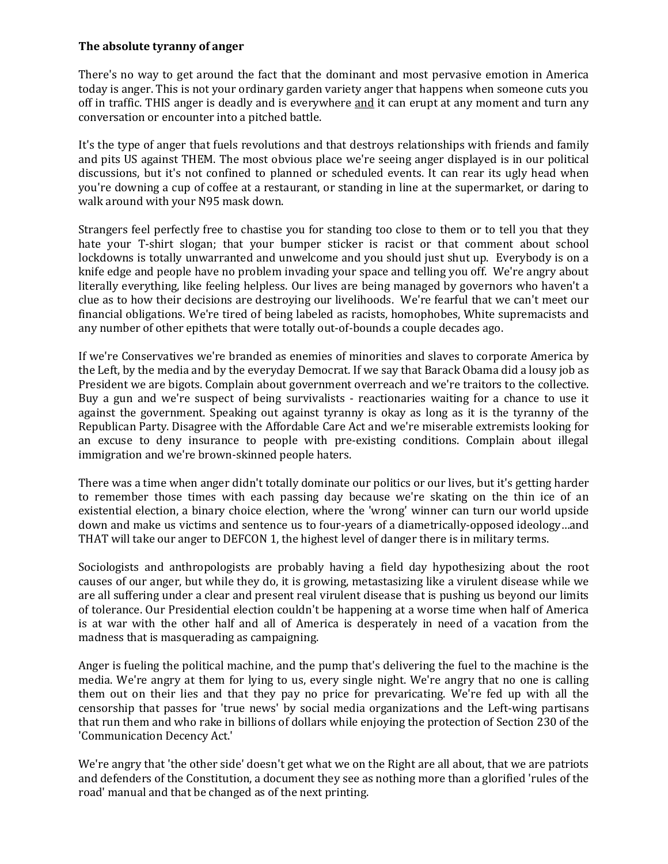## **The absolute tyranny of anger**

There's no way to get around the fact that the dominant and most pervasive emotion in America today is anger. This is not your ordinary garden variety anger that happens when someone cuts you off in traffic. THIS anger is deadly and is everywhere and it can erupt at any moment and turn any conversation or encounter into a pitched battle.

It's the type of anger that fuels revolutions and that destroys relationships with friends and family and pits US against THEM. The most obvious place we're seeing anger displayed is in our political discussions, but it's not confined to planned or scheduled events. It can rear its ugly head when you're downing a cup of coffee at a restaurant, or standing in line at the supermarket, or daring to walk around with your N95 mask down.

Strangers feel perfectly free to chastise you for standing too close to them or to tell you that they hate your T-shirt slogan; that your bumper sticker is racist or that comment about school lockdowns is totally unwarranted and unwelcome and you should just shut up. Everybody is on a knife edge and people have no problem invading your space and telling you off. We're angry about literally everything, like feeling helpless. Our lives are being managed by governors who haven't a clue as to how their decisions are destroying our livelihoods. We're fearful that we can't meet our financial obligations. We're tired of being labeled as racists, homophobes, White supremacists and any number of other epithets that were totally out-of-bounds a couple decades ago.

If we're Conservatives we're branded as enemies of minorities and slaves to corporate America by the Left, by the media and by the everyday Democrat. If we say that Barack Obama did a lousy job as President we are bigots. Complain about government overreach and we're traitors to the collective. Buy a gun and we're suspect of being survivalists - reactionaries waiting for a chance to use it against the government. Speaking out against tyranny is okay as long as it is the tyranny of the Republican Party. Disagree with the Affordable Care Act and we're miserable extremists looking for an excuse to deny insurance to people with pre-existing conditions. Complain about illegal immigration and we're brown-skinned people haters.

There was a time when anger didn't totally dominate our politics or our lives, but it's getting harder to remember those times with each passing day because we're skating on the thin ice of an existential election, a binary choice election, where the 'wrong' winner can turn our world upside down and make us victims and sentence us to four-years of a diametrically-opposed ideology…and THAT will take our anger to DEFCON 1, the highest level of danger there is in military terms.

Sociologists and anthropologists are probably having a field day hypothesizing about the root causes of our anger, but while they do, it is growing, metastasizing like a virulent disease while we are all suffering under a clear and present real virulent disease that is pushing us beyond our limits of tolerance. Our Presidential election couldn't be happening at a worse time when half of America is at war with the other half and all of America is desperately in need of a vacation from the madness that is masquerading as campaigning.

Anger is fueling the political machine, and the pump that's delivering the fuel to the machine is the media. We're angry at them for lying to us, every single night. We're angry that no one is calling them out on their lies and that they pay no price for prevaricating. We're fed up with all the censorship that passes for 'true news' by social media organizations and the Left-wing partisans that run them and who rake in billions of dollars while enjoying the protection of Section 230 of the 'Communication Decency Act.'

We're angry that 'the other side' doesn't get what we on the Right are all about, that we are patriots and defenders of the Constitution, a document they see as nothing more than a glorified 'rules of the road' manual and that be changed as of the next printing.